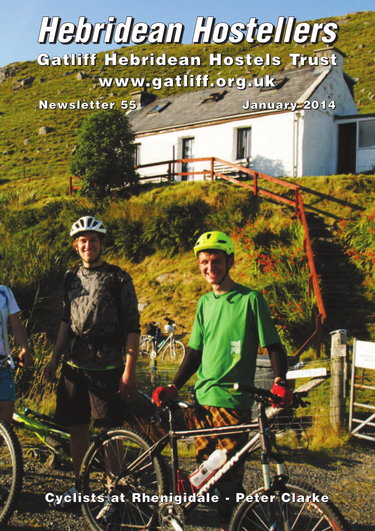# *Hebridean Hostellers*

**Gatliff Hebridean Hostels Trust www.gatliff.org.uk**

**Newsletter 55 January 2014**

**Cyclists at Rhenigidale - Peter Clarke**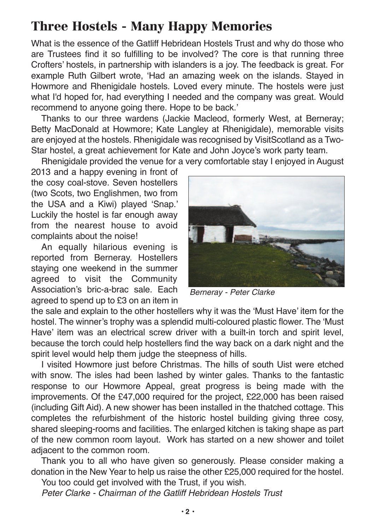# **Three Hostels - Many Happy Memories**

What is the essence of the Gatliff Hebridean Hostels Trust and why do those who are Trustees find it so fulfilling to be involved? The core is that running three Crofters' hostels, in partnership with islanders is a joy. The feedback is great. For example Ruth Gilbert wrote, 'Had an amazing week on the islands. Stayed in Howmore and Rhenigidale hostels. Loved every minute. The hostels were just what I'd hoped for, had everything I needed and the company was great. Would recommend to anyone going there. Hope to be back.'

Thanks to our three wardens (Jackie Macleod, formerly West, at Berneray; Betty MacDonald at Howmore; Kate Langley at Rhenigidale), memorable visits are enjoyed at the hostels. Rhenigidale was recognised by VisitScotland as a Two-Star hostel, a great achievement for Kate and John Joyce's work party team.

Rhenigidale provided the venue for a very comfortable stay I enjoyed in August

2013 and a happy evening in front of the cosy coal-stove. Seven hostellers (two Scots, two Englishmen, two from the USA and a Kiwi) played 'Snap.' Luckily the hostel is far enough away from the nearest house to avoid complaints about the noise!

An equally hilarious evening is reported from Berneray. Hostellers staying one weekend in the summer agreed to visit the Community Association's bric-a-brac sale. Each agreed to spend up to £3 on an item in



*Berneray - Peter Clarke*

the sale and explain to the other hostellers why it was the 'Must Have' item for the hostel. The winner's trophy was a splendid multi-coloured plastic flower. The 'Must Have' item was an electrical screw driver with a built-in torch and spirit level, because the torch could help hostellers find the way back on a dark night and the spirit level would help them judge the steepness of hills.

I visited Howmore just before Christmas. The hills of south Uist were etched with snow. The isles had been lashed by winter gales. Thanks to the fantastic response to our Howmore Appeal, great progress is being made with the improvements. Of the £47,000 required for the project, £22,000 has been raised (including Gift Aid). A new shower has been installed in the thatched cottage. This completes the refurbishment of the historic hostel building giving three cosy, shared sleeping-rooms and facilities. The enlarged kitchen is taking shape as part of the new common room layout. Work has started on a new shower and toilet adjacent to the common room.

Thank you to all who have given so generously. Please consider making a donation in the New Year to help us raise the other £25,000 required for the hostel.

You too could get involved with the Trust, if you wish.

*Peter Clarke - Chairman of the Gatliff Hebridean Hostels Trust*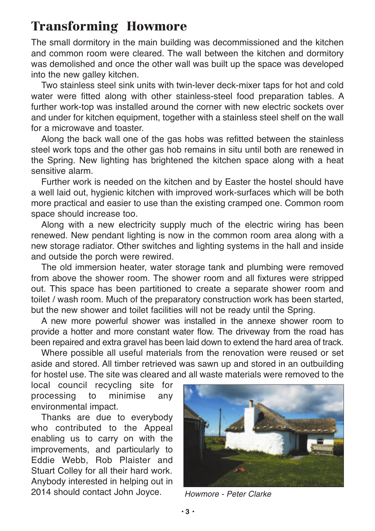## **Transforming Howmore**

The small dormitory in the main building was decommissioned and the kitchen and common room were cleared. The wall between the kitchen and dormitory was demolished and once the other wall was built up the space was developed into the new galley kitchen.

Two stainless steel sink units with twin-lever deck-mixer taps for hot and cold water were fitted along with other stainless-steel food preparation tables. A further work-top was installed around the corner with new electric sockets over and under for kitchen equipment, together with a stainless steel shelf on the wall for a microwave and toaster.

Along the back wall one of the gas hobs was refitted between the stainless steel work tops and the other gas hob remains in situ until both are renewed in the Spring. New lighting has brightened the kitchen space along with a heat sensitive alarm.

Further work is needed on the kitchen and by Easter the hostel should have a well laid out, hygienic kitchen with improved work-surfaces which will be both more practical and easier to use than the existing cramped one. Common room space should increase too.

Along with a new electricity supply much of the electric wiring has been renewed. New pendant lighting is now in the common room area along with a new storage radiator. Other switches and lighting systems in the hall and inside and outside the porch were rewired.

The old immersion heater, water storage tank and plumbing were removed from above the shower room. The shower room and all fixtures were stripped out. This space has been partitioned to create a separate shower room and toilet / wash room. Much of the preparatory construction work has been started, but the new shower and toilet facilities will not be ready until the Spring.

A new more powerful shower was installed in the annexe shower room to provide a hotter and more constant water flow. The driveway from the road has been repaired and extra gravel has been laid down to extend the hard area of track.

Where possible all useful materials from the renovation were reused or set aside and stored. All timber retrieved was sawn up and stored in an outbuilding for hostel use. The site was cleared and all waste materials were removed to the

local council recycling site for processing to minimise any environmental impact.

Thanks are due to everybody who contributed to the Appeal enabling us to carry on with the improvements, and particularly to Eddie Webb, Rob Plaister and Stuart Colley for all their hard work. Anybody interested in helping out in 2014 should contact John Joyce. *Howmore - Peter Clarke*

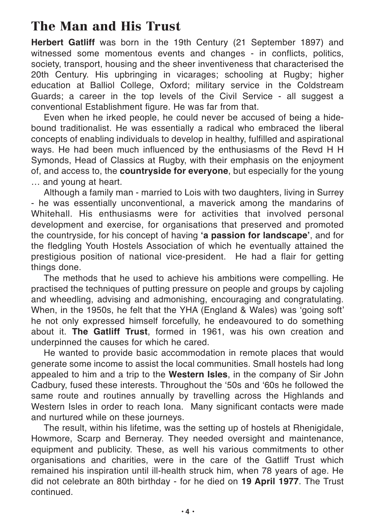# **The Man and His Trust**

**Herbert Gatliff** was born in the 19th Century (21 September 1897) and witnessed some momentous events and changes - in conflicts, politics, society, transport, housing and the sheer inventiveness that characterised the 20th Century. His upbringing in vicarages; schooling at Rugby; higher education at Balliol College, Oxford; military service in the Coldstream Guards; a career in the top levels of the Civil Service - all suggest a conventional Establishment figure. He was far from that.

Even when he irked people, he could never be accused of being a hidebound traditionalist. He was essentially a radical who embraced the liberal concepts of enabling individuals to develop in healthy, fulfilled and aspirational ways. He had been much influenced by the enthusiasms of the Revd H H Symonds, Head of Classics at Rugby, with their emphasis on the enjoyment of, and access to, the **countryside for everyone**, but especially for the young … and young at heart.

Although a family man - married to Lois with two daughters, living in Surrey - he was essentially unconventional, a maverick among the mandarins of Whitehall. His enthusiasms were for activities that involved personal development and exercise, for organisations that preserved and promoted the countryside, for his concept of having **'a passion for landscape'**, and for the fledgling Youth Hostels Association of which he eventually attained the prestigious position of national vice-president. He had a flair for getting things done.

The methods that he used to achieve his ambitions were compelling. He practised the techniques of putting pressure on people and groups by cajoling and wheedling, advising and admonishing, encouraging and congratulating. When, in the 1950s, he felt that the YHA (England & Wales) was 'going soft' he not only expressed himself forcefully, he endeavoured to do something about it. **The Gatliff Trust**, formed in 1961, was his own creation and underpinned the causes for which he cared.

He wanted to provide basic accommodation in remote places that would generate some income to assist the local communities. Small hostels had long appealed to him and a trip to the **Western Isles**, in the company of Sir John Cadbury, fused these interests. Throughout the '50s and '60s he followed the same route and routines annually by travelling across the Highlands and Western Isles in order to reach Iona. Many significant contacts were made and nurtured while on these journeys.

The result, within his lifetime, was the setting up of hostels at Rhenigidale, Howmore, Scarp and Berneray. They needed oversight and maintenance, equipment and publicity. These, as well his various commitments to other organisations and charities, were in the care of the Gatliff Trust which remained his inspiration until ill-health struck him, when 78 years of age. He did not celebrate an 80th birthday - for he died on **19 April 1977**. The Trust continued.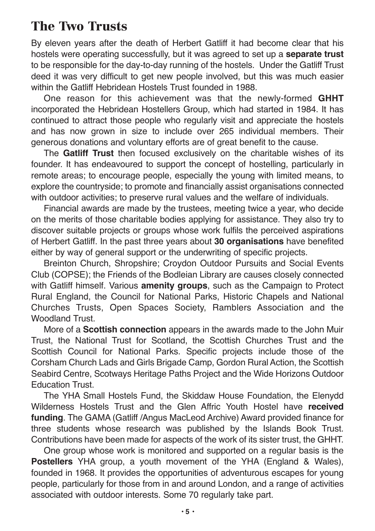## **The Two Trusts**

By eleven years after the death of Herbert Gatliff it had become clear that his hostels were operating successfully, but it was agreed to set up a **separate trust** to be responsible for the day-to-day running of the hostels. Under the Gatliff Trust deed it was very difficult to get new people involved, but this was much easier within the Gatliff Hebridean Hostels Trust founded in 1988.

One reason for this achievement was that the newly-formed **GHHT** incorporated the Hebridean Hostellers Group, which had started in 1984. It has continued to attract those people who regularly visit and appreciate the hostels and has now grown in size to include over 265 individual members. Their generous donations and voluntary efforts are of great benefit to the cause.

The **Gatliff Trust** then focused exclusively on the charitable wishes of its founder. It has endeavoured to support the concept of hostelling, particularly in remote areas; to encourage people, especially the young with limited means, to explore the countryside; to promote and financially assist organisations connected with outdoor activities; to preserve rural values and the welfare of individuals.

Financial awards are made by the trustees, meeting twice a year, who decide on the merits of those charitable bodies applying for assistance. They also try to discover suitable projects or groups whose work fulfils the perceived aspirations of Herbert Gatliff. In the past three years about **30 organisations** have benefited either by way of general support or the underwriting of specific projects.

Breinton Church, Shropshire; Croydon Outdoor Pursuits and Social Events Club (COPSE); the Friends of the Bodleian Library are causes closely connected with Gatliff himself. Various **amenity groups**, such as the Campaign to Protect Rural England, the Council for National Parks, Historic Chapels and National Churches Trusts, Open Spaces Society, Ramblers Association and the Woodland Trust.

More of a **Scottish connection** appears in the awards made to the John Muir Trust, the National Trust for Scotland, the Scottish Churches Trust and the Scottish Council for National Parks. Specific projects include those of the Corsham Church Lads and Girls Brigade Camp, Gordon Rural Action, the Scottish Seabird Centre, Scotways Heritage Paths Project and the Wide Horizons Outdoor Education Trust.

The YHA Small Hostels Fund, the Skiddaw House Foundation, the Elenydd Wilderness Hostels Trust and the Glen Affric Youth Hostel have **received funding**. The GAMA (Gatliff /Angus MacLeod Archive) Award provided finance for three students whose research was published by the Islands Book Trust. Contributions have been made for aspects of the work of its sister trust, the GHHT.

One group whose work is monitored and supported on a regular basis is the **Postellers** YHA group, a youth movement of the YHA (England & Wales), founded in 1968. It provides the opportunities of adventurous escapes for young people, particularly for those from in and around London, and a range of activities associated with outdoor interests. Some 70 regularly take part.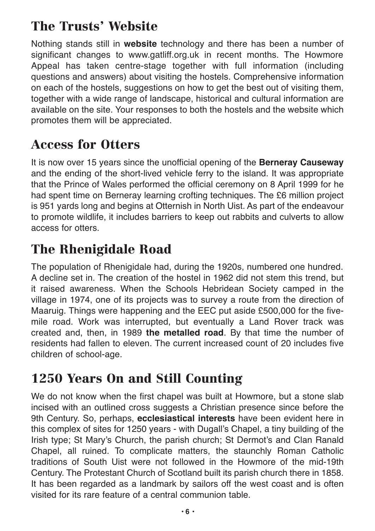# **The Trusts' Website**

Nothing stands still in **website** technology and there has been a number of significant changes to www.gatliff.org.uk in recent months. The Howmore Appeal has taken centre-stage together with full information (including questions and answers) about visiting the hostels. Comprehensive information on each of the hostels, suggestions on how to get the best out of visiting them, together with a wide range of landscape, historical and cultural information are available on the site. Your responses to both the hostels and the website which promotes them will be appreciated.

# **Access for Otters**

It is now over 15 years since the unofficial opening of the **Berneray Causeway** and the ending of the short-lived vehicle ferry to the island. It was appropriate that the Prince of Wales performed the official ceremony on 8 April 1999 for he had spent time on Berneray learning crofting techniques. The £6 million project is 951 yards long and begins at Otternish in North Uist. As part of the endeavour to promote wildlife, it includes barriers to keep out rabbits and culverts to allow access for otters.

# **The Rhenigidale Road**

The population of Rhenigidale had, during the 1920s, numbered one hundred. A decline set in. The creation of the hostel in 1962 did not stem this trend, but it raised awareness. When the Schools Hebridean Society camped in the village in 1974, one of its projects was to survey a route from the direction of Maaruig. Things were happening and the EEC put aside £500,000 for the fivemile road. Work was interrupted, but eventually a Land Rover track was created and, then, in 1989 **the metalled road**. By that time the number of residents had fallen to eleven. The current increased count of 20 includes five children of school-age.

# **1250 Years On and Still Counting**

We do not know when the first chapel was built at Howmore, but a stone slab incised with an outlined cross suggests a Christian presence since before the 9th Century. So, perhaps, **ecclesiastical interests** have been evident here in this complex of sites for 1250 years - with Dugall's Chapel, a tiny building of the Irish type; St Mary's Church, the parish church; St Dermot's and Clan Ranald Chapel, all ruined. To complicate matters, the staunchly Roman Catholic traditions of South Uist were not followed in the Howmore of the mid-19th Century. The Protestant Church of Scotland built its parish church there in 1858. It has been regarded as a landmark by sailors off the west coast and is often visited for its rare feature of a central communion table.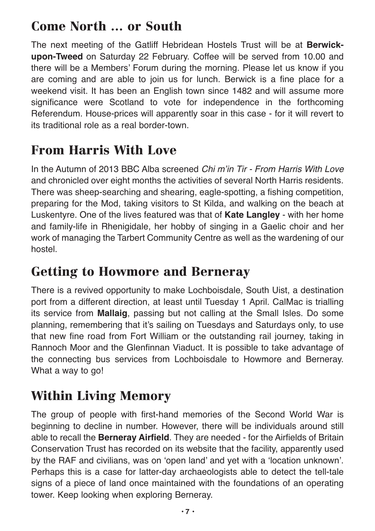# **Come North … or South**

The next meeting of the Gatliff Hebridean Hostels Trust will be at **Berwickupon-Tweed** on Saturday 22 February. Coffee will be served from 10.00 and there will be a Members' Forum during the morning. Please let us know if you are coming and are able to join us for lunch. Berwick is a fine place for a weekend visit. It has been an English town since 1482 and will assume more significance were Scotland to vote for independence in the forthcoming Referendum. House-prices will apparently soar in this case - for it will revert to its traditional role as a real border-town.

## **From Harris With Love**

In the Autumn of 2013 BBC Alba screened *Chi m'in Tir - From Harris With Love* and chronicled over eight months the activities of several North Harris residents. There was sheep-searching and shearing, eagle-spotting, a fishing competition, preparing for the Mod, taking visitors to St Kilda, and walking on the beach at Luskentyre. One of the lives featured was that of **Kate Langley** - with her home and family-life in Rhenigidale, her hobby of singing in a Gaelic choir and her work of managing the Tarbert Community Centre as well as the wardening of our hostel.

## **Getting to Howmore and Berneray**

There is a revived opportunity to make Lochboisdale, South Uist, a destination port from a different direction, at least until Tuesday 1 April. CalMac is trialling its service from **Mallaig**, passing but not calling at the Small Isles. Do some planning, remembering that it's sailing on Tuesdays and Saturdays only, to use that new fine road from Fort William or the outstanding rail journey, taking in Rannoch Moor and the Glenfinnan Viaduct. It is possible to take advantage of the connecting bus services from Lochboisdale to Howmore and Berneray. What a way to go!

# **Within Living Memory**

The group of people with first-hand memories of the Second World War is beginning to decline in number. However, there will be individuals around still able to recall the **Berneray Airfield**. They are needed - for the Airfields of Britain Conservation Trust has recorded on its website that the facility, apparently used by the RAF and civilians, was on 'open land' and yet with a 'location unknown'. Perhaps this is a case for latter-day archaeologists able to detect the tell-tale signs of a piece of land once maintained with the foundations of an operating tower. Keep looking when exploring Berneray.